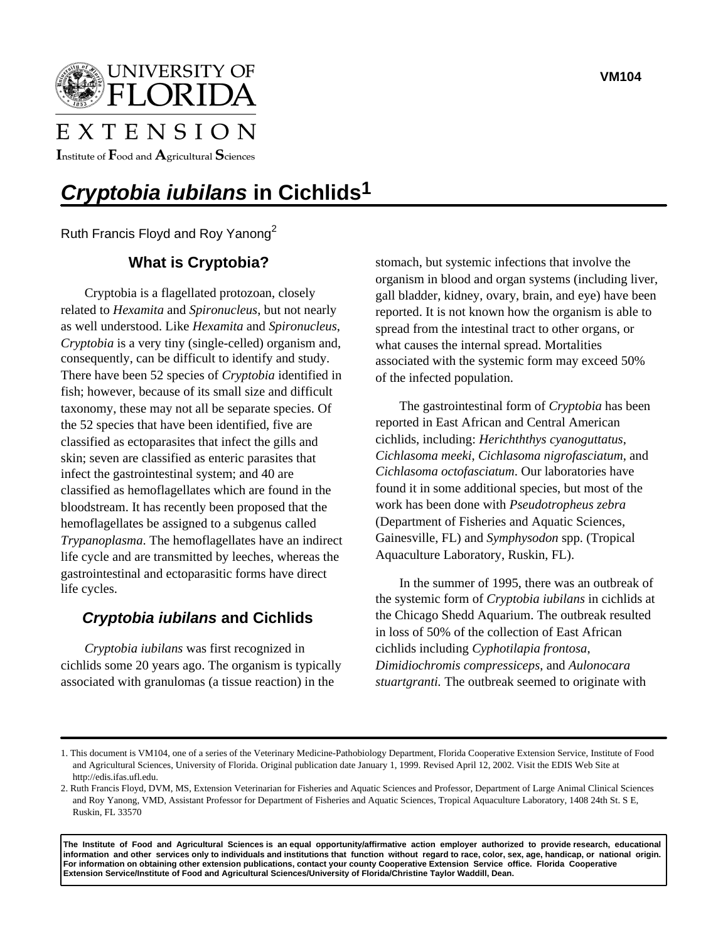

# EXTENSION

Institute of  $\mathbf F$ ood and  $\mathbf A$ gricultural  $\mathbf S$ ciences

# *Cryptobia iubilans* **in Cichlids1**

Ruth Francis Floyd and Roy Yanong<sup>2</sup>

## **What is Cryptobia?**

Cryptobia is a flagellated protozoan, closely related to *Hexamita* and *Spironucleus*, but not nearly as well understood. Like *Hexamita* and *Spironucleus*, *Cryptobia* is a very tiny (single-celled) organism and, consequently, can be difficult to identify and study. There have been 52 species of *Cryptobia* identified in fish; however, because of its small size and difficult taxonomy, these may not all be separate species. Of the 52 species that have been identified, five are classified as ectoparasites that infect the gills and skin; seven are classified as enteric parasites that infect the gastrointestinal system; and 40 are classified as hemoflagellates which are found in the bloodstream. It has recently been proposed that the hemoflagellates be assigned to a subgenus called *Trypanoplasma*. The hemoflagellates have an indirect life cycle and are transmitted by leeches, whereas the gastrointestinal and ectoparasitic forms have direct life cycles.

### *Cryptobia iubilans* **and Cichlids**

*Cryptobia iubilans* was first recognized in cichlids some 20 years ago. The organism is typically associated with granulomas (a tissue reaction) in the

stomach, but systemic infections that involve the organism in blood and organ systems (including liver, gall bladder, kidney, ovary, brain, and eye) have been reported. It is not known how the organism is able to spread from the intestinal tract to other organs, or what causes the internal spread. Mortalities associated with the systemic form may exceed 50% of the infected population.

The gastrointestinal form of *Cryptobia* has been reported in East African and Central American cichlids, including: *Herichththys cyanoguttatus*, *Cichlasoma meeki*, *Cichlasoma nigrofasciatum*, and *Cichlasoma octofasciatum*. Our laboratories have found it in some additional species, but most of the work has been done with *Pseudotropheus zebra* (Department of Fisheries and Aquatic Sciences, Gainesville, FL) and *Symphysodon* spp. (Tropical Aquaculture Laboratory, Ruskin, FL).

In the summer of 1995, there was an outbreak of the systemic form of *Cryptobia iubilans* in cichlids at the Chicago Shedd Aquarium. The outbreak resulted in loss of 50% of the collection of East African cichlids including *Cyphotilapia frontosa*, *Dimidiochromis compressiceps*, and *Aulonocara stuartgranti.* The outbreak seemed to originate with

**The Institute of Food and Agricultural Sciences is an equal opportunity/affirmative action employer authorized to provide research, educational information and other services only to individuals and institutions that function without regard to race, color, sex, age, handicap, or national origin. For information on obtaining other extension publications, contact your county Cooperative Extension Service office. Florida Cooperative Extension Service/Institute of Food and Agricultural Sciences/University of Florida/Christine Taylor Waddill, Dean.**

<sup>1.</sup> This document is VM104, one of a series of the Veterinary Medicine-Pathobiology Department, Florida Cooperative Extension Service, Institute of Food and Agricultural Sciences, University of Florida. Original publication date January 1, 1999. Revised April 12, 2002. Visit the EDIS Web Site at http://edis.ifas.ufl.edu.

<sup>2.</sup> Ruth Francis Floyd, DVM, MS, Extension Veterinarian for Fisheries and Aquatic Sciences and Professor, Department of Large Animal Clinical Sciences and Roy Yanong, VMD, Assistant Professor for Department of Fisheries and Aquatic Sciences, Tropical Aquaculture Laboratory, 1408 24th St. S E, Ruskin, FL 33570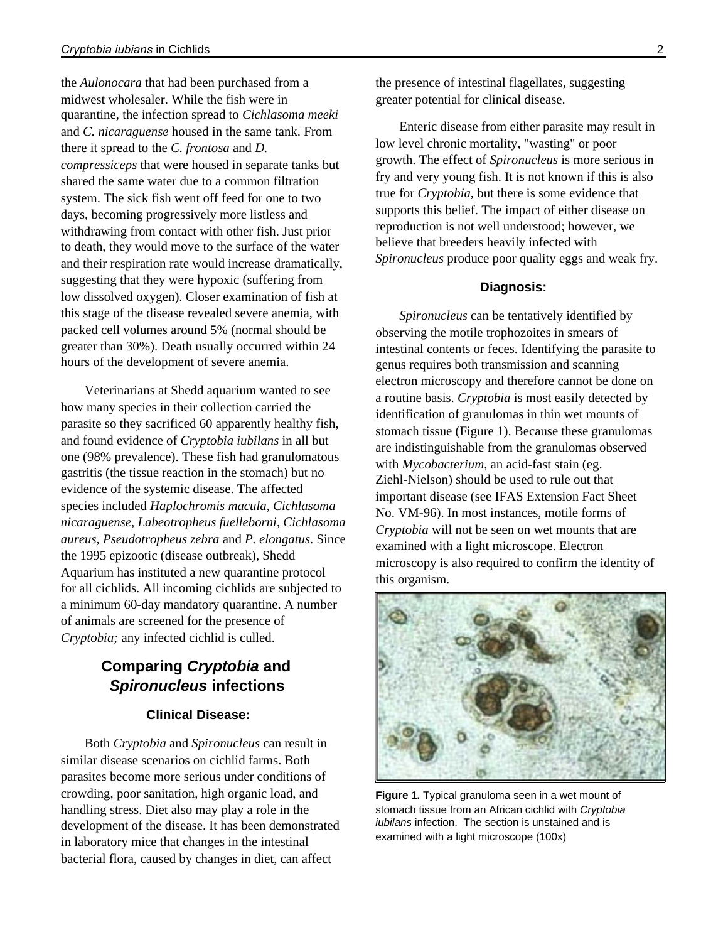the *Aulonocara* that had been purchased from a midwest wholesaler. While the fish were in quarantine, the infection spread to *Cichlasoma meeki* and *C. nicaraguense* housed in the same tank. From there it spread to the *C. frontosa* and *D. compressiceps* that were housed in separate tanks but shared the same water due to a common filtration system. The sick fish went off feed for one to two days, becoming progressively more listless and withdrawing from contact with other fish. Just prior to death, they would move to the surface of the water and their respiration rate would increase dramatically, suggesting that they were hypoxic (suffering from low dissolved oxygen). Closer examination of fish at this stage of the disease revealed severe anemia, with packed cell volumes around 5% (normal should be greater than 30%). Death usually occurred within 24 hours of the development of severe anemia.

Veterinarians at Shedd aquarium wanted to see how many species in their collection carried the parasite so they sacrificed 60 apparently healthy fish, and found evidence of *Cryptobia iubilans* in all but one (98% prevalence). These fish had granulomatous gastritis (the tissue reaction in the stomach) but no evidence of the systemic disease. The affected species included *Haplochromis macula*, *Cichlasoma nicaraguense*, *Labeotropheus fuelleborni*, *Cichlasoma aureus*, *Pseudotropheus zebra* and *P. elongatus*. Since the 1995 epizootic (disease outbreak), Shedd Aquarium has instituted a new quarantine protocol for all cichlids. All incoming cichlids are subjected to a minimum 60-day mandatory quarantine. A number of animals are screened for the presence of *Cryptobia;* any infected cichlid is culled.

## **Comparing** *Cryptobia* **and**  *Spironucleus* **infections**

#### **Clinical Disease:**

Both *Cryptobia* and *Spironucleus* can result in similar disease scenarios on cichlid farms. Both parasites become more serious under conditions of crowding, poor sanitation, high organic load, and handling stress. Diet also may play a role in the development of the disease. It has been demonstrated in laboratory mice that changes in the intestinal bacterial flora, caused by changes in diet, can affect

the presence of intestinal flagellates, suggesting greater potential for clinical disease.

Enteric disease from either parasite may result in low level chronic mortality, "wasting" or poor growth. The effect of *Spironucleus* is more serious in fry and very young fish. It is not known if this is also true for *Cryptobia*, but there is some evidence that supports this belief. The impact of either disease on reproduction is not well understood; however, we believe that breeders heavily infected with *Spironucleus* produce poor quality eggs and weak fry.

#### **Diagnosis:**

*Spironucleus* can be tentatively identified by observing the motile trophozoites in smears of intestinal contents or feces. Identifying the parasite to genus requires both transmission and scanning electron microscopy and therefore cannot be done on a routine basis. *Cryptobia* is most easily detected by identification of granulomas in thin wet mounts of stomach tissue (Figure 1). Because these granulomas are indistinguishable from the granulomas observed with *Mycobacterium*, an acid-fast stain (eg. Ziehl-Nielson) should be used to rule out that important disease (see IFAS Extension Fact Sheet No. VM-96). In most instances, motile forms of *Cryptobia* will not be seen on wet mounts that are examined with a light microscope. Electron microscopy is also required to confirm the identity of this organism.



**Figure 1.** Typical granuloma seen in a wet mount of stomach tissue from an African cichlid with *Cryptobia iubilans* infection. The section is unstained and is examined with a light microscope (100x)